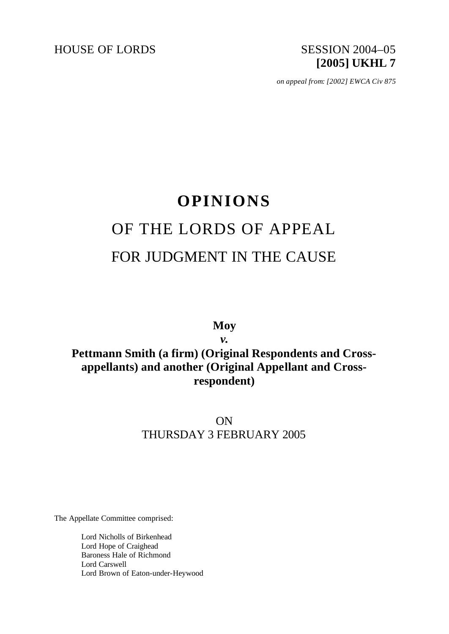

*on appeal from: [2002] EWCA Civ 875*

# **OPINIONS** OF THE LORDS OF APPEAL FOR JUDGMENT IN THE CAUSE

**Moy**

*v.* **Pettmann Smith (a firm) (Original Respondents and Crossappellants) and another (Original Appellant and Crossrespondent)**

> ON THURSDAY 3 FEBRUARY 2005

The Appellate Committee comprised:

Lord Nicholls of Birkenhead Lord Hope of Craighead Baroness Hale of Richmond Lord Carswell Lord Brown of Eaton-under-Heywood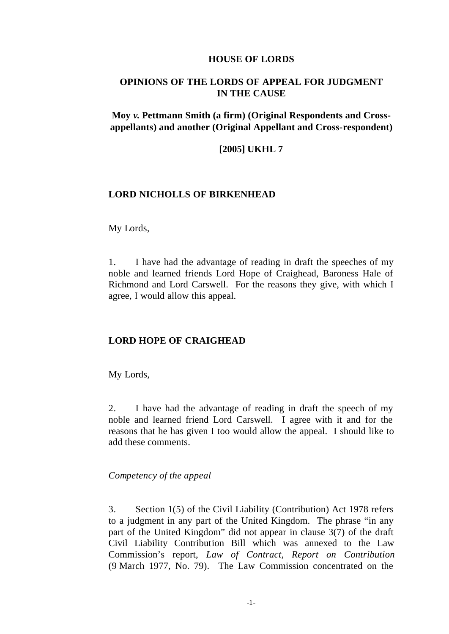#### **HOUSE OF LORDS**

## **OPINIONS OF THE LORDS OF APPEAL FOR JUDGMENT IN THE CAUSE**

**Moy** *v.* **Pettmann Smith (a firm) (Original Respondents and Crossappellants) and another (Original Appellant and Cross-respondent)**

#### **[2005] UKHL 7**

### **LORD NICHOLLS OF BIRKENHEAD**

My Lords,

1. I have had the advantage of reading in draft the speeches of my noble and learned friends Lord Hope of Craighead, Baroness Hale of Richmond and Lord Carswell. For the reasons they give, with which I agree, I would allow this appeal.

#### **LORD HOPE OF CRAIGHEAD**

My Lords,

2. I have had the advantage of reading in draft the speech of my noble and learned friend Lord Carswell. I agree with it and for the reasons that he has given I too would allow the appeal. I should like to add these comments.

#### *Competency of the appeal*

3. Section 1(5) of the Civil Liability (Contribution) Act 1978 refers to a judgment in any part of the United Kingdom. The phrase "in any part of the United Kingdom" did not appear in clause 3(7) of the draft Civil Liability Contribution Bill which was annexed to the Law Commission's report, *Law of Contract, Report on Contribution* (9 March 1977, No. 79). The Law Commission concentrated on the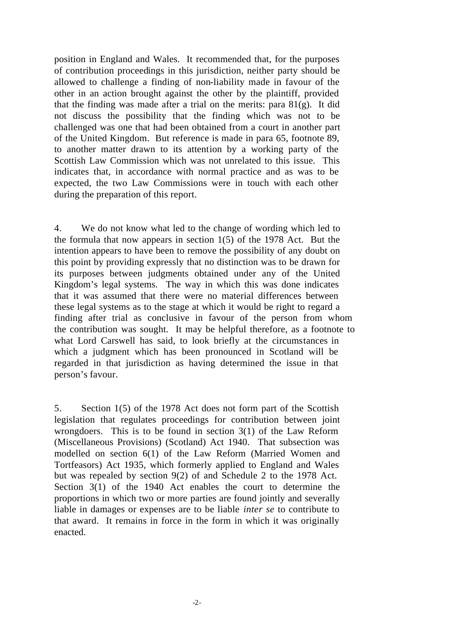position in England and Wales. It recommended that, for the purposes of contribution proceedings in this jurisdiction, neither party should be allowed to challenge a finding of non-liability made in favour of the other in an action brought against the other by the plaintiff, provided that the finding was made after a trial on the merits: para  $81(g)$ . It did not discuss the possibility that the finding which was not to be challenged was one that had been obtained from a court in another part of the United Kingdom. But reference is made in para 65, footnote 89, to another matter drawn to its attention by a working party of the Scottish Law Commission which was not unrelated to this issue. This indicates that, in accordance with normal practice and as was to be expected, the two Law Commissions were in touch with each other during the preparation of this report.

4. We do not know what led to the change of wording which led to the formula that now appears in section 1(5) of the 1978 Act. But the intention appears to have been to remove the possibility of any doubt on this point by providing expressly that no distinction was to be drawn for its purposes between judgments obtained under any of the United Kingdom's legal systems. The way in which this was done indicates that it was assumed that there were no material differences between these legal systems as to the stage at which it would be right to regard a finding after trial as conclusive in favour of the person from whom the contribution was sought. It may be helpful therefore, as a footnote to what Lord Carswell has said, to look briefly at the circumstances in which a judgment which has been pronounced in Scotland will be regarded in that jurisdiction as having determined the issue in that person's favour.

5. Section 1(5) of the 1978 Act does not form part of the Scottish legislation that regulates proceedings for contribution between joint wrongdoers. This is to be found in section 3(1) of the Law Reform (Miscellaneous Provisions) (Scotland) Act 1940. That subsection was modelled on section 6(1) of the Law Reform (Married Women and Tortfeasors) Act 1935, which formerly applied to England and Wales but was repealed by section 9(2) of and Schedule 2 to the 1978 Act. Section 3(1) of the 1940 Act enables the court to determine the proportions in which two or more parties are found jointly and severally liable in damages or expenses are to be liable *inter se* to contribute to that award. It remains in force in the form in which it was originally enacted.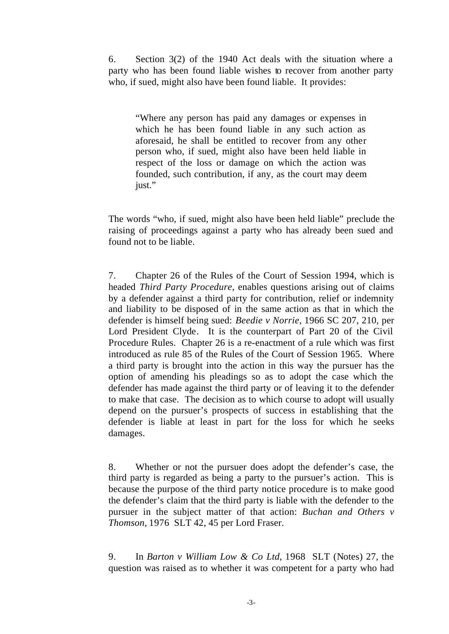6. Section 3(2) of the 1940 Act deals with the situation where a party who has been found liable wishes to recover from another party who, if sued, might also have been found liable. It provides:

"Where any person has paid any damages or expenses in which he has been found liable in any such action as aforesaid, he shall be entitled to recover from any other person who, if sued, might also have been held liable in respect of the loss or damage on which the action was founded, such contribution, if any, as the court may deem just."

The words "who, if sued, might also have been held liable" preclude the raising of proceedings against a party who has already been sued and found not to be liable.

7. Chapter 26 of the Rules of the Court of Session 1994, which is headed *Third Party Procedure*, enables questions arising out of claims by a defender against a third party for contribution, relief or indemnity and liability to be disposed of in the same action as that in which the defender is himself being sued: *Beedie v Norrie*, 1966 SC 207, 210, per Lord President Clyde. It is the counterpart of Part 20 of the Civil Procedure Rules. Chapter 26 is a re-enactment of a rule which was first introduced as rule 85 of the Rules of the Court of Session 1965. Where a third party is brought into the action in this way the pursuer has the option of amending his pleadings so as to adopt the case which the defender has made against the third party or of leaving it to the defender to make that case. The decision as to which course to adopt will usually depend on the pursuer's prospects of success in establishing that the defender is liable at least in part for the loss for which he seeks damages.

8. Whether or not the pursuer does adopt the defender's case, the third party is regarded as being a party to the pursuer's action. This is because the purpose of the third party notice procedure is to make good the defender's claim that the third party is liable with the defender to the pursuer in the subject matter of that action: *Buchan and Others v Thomson*, 1976 SLT 42, 45 per Lord Fraser.

9. In *Barton v William Low & Co Ltd*, 1968 SLT (Notes) 27, the question was raised as to whether it was competent for a party who had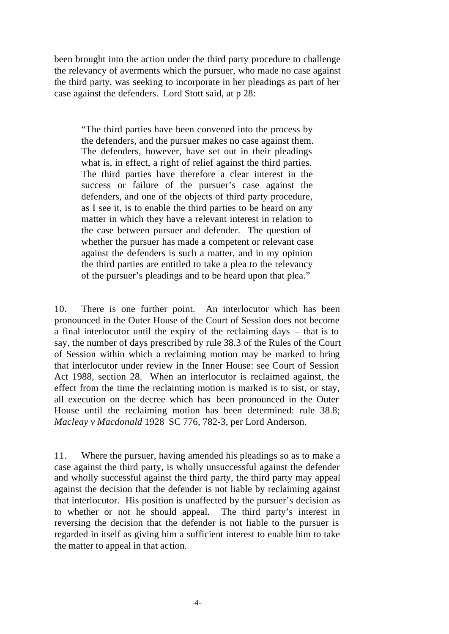been brought into the action under the third party procedure to challenge the relevancy of averments which the pursuer, who made no case against the third party, was seeking to incorporate in her pleadings as part of her case against the defenders. Lord Stott said, at p 28:

"The third parties have been convened into the process by the defenders, and the pursuer makes no case against them. The defenders, however, have set out in their pleadings what is, in effect, a right of relief against the third parties. The third parties have therefore a clear interest in the success or failure of the pursuer's case against the defenders, and one of the objects of third party procedure, as I see it, is to enable the third parties to be heard on any matter in which they have a relevant interest in relation to the case between pursuer and defender. The question of whether the pursuer has made a competent or relevant case against the defenders is such a matter, and in my opinion the third parties are entitled to take a plea to the relevancy of the pursuer's pleadings and to be heard upon that plea."

10. There is one further point. An interlocutor which has been pronounced in the Outer House of the Court of Session does not become a final interlocutor until the expiry of the reclaiming days – that is to say, the number of days prescribed by rule 38.3 of the Rules of the Court of Session within which a reclaiming motion may be marked to bring that interlocutor under review in the Inner House: see Court of Session Act 1988, section 28. When an interlocutor is reclaimed against, the effect from the time the reclaiming motion is marked is to sist, or stay, all execution on the decree which has been pronounced in the Outer House until the reclaiming motion has been determined: rule 38.8; *Macleay v Macdonald* 1928 SC 776, 782-3, per Lord Anderson.

11. Where the pursuer, having amended his pleadings so as to make a case against the third party, is wholly unsuccessful against the defender and wholly successful against the third party, the third party may appeal against the decision that the defender is not liable by reclaiming against that interlocutor. His position is unaffected by the pursuer's decision as to whether or not he should appeal. The third party's interest in reversing the decision that the defender is not liable to the pursuer is regarded in itself as giving him a sufficient interest to enable him to take the matter to appeal in that action.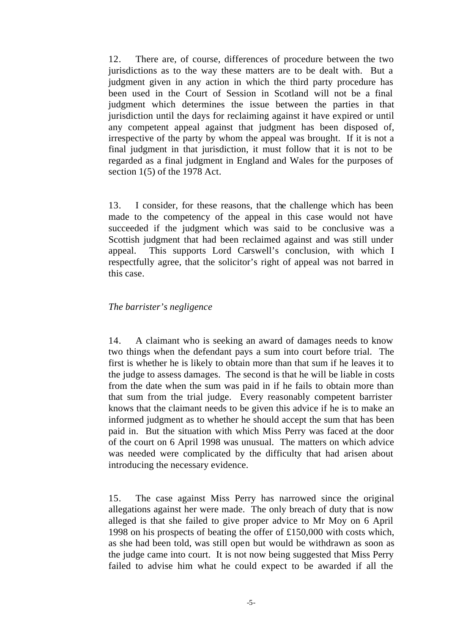12. There are, of course, differences of procedure between the two jurisdictions as to the way these matters are to be dealt with. But a judgment given in any action in which the third party procedure has been used in the Court of Session in Scotland will not be a final judgment which determines the issue between the parties in that jurisdiction until the days for reclaiming against it have expired or until any competent appeal against that judgment has been disposed of, irrespective of the party by whom the appeal was brought. If it is not a final judgment in that jurisdiction, it must follow that it is not to be regarded as a final judgment in England and Wales for the purposes of section 1(5) of the 1978 Act.

13. I consider, for these reasons, that the challenge which has been made to the competency of the appeal in this case would not have succeeded if the judgment which was said to be conclusive was a Scottish judgment that had been reclaimed against and was still under appeal. This supports Lord Carswell's conclusion, with which I respectfully agree, that the solicitor's right of appeal was not barred in this case.

#### *The barrister's negligence*

14. A claimant who is seeking an award of damages needs to know two things when the defendant pays a sum into court before trial. The first is whether he is likely to obtain more than that sum if he leaves it to the judge to assess damages. The second is that he will be liable in costs from the date when the sum was paid in if he fails to obtain more than that sum from the trial judge. Every reasonably competent barrister knows that the claimant needs to be given this advice if he is to make an informed judgment as to whether he should accept the sum that has been paid in. But the situation with which Miss Perry was faced at the door of the court on 6 April 1998 was unusual. The matters on which advice was needed were complicated by the difficulty that had arisen about introducing the necessary evidence.

15. The case against Miss Perry has narrowed since the original allegations against her were made. The only breach of duty that is now alleged is that she failed to give proper advice to Mr Moy on 6 April 1998 on his prospects of beating the offer of £150,000 with costs which, as she had been told, was still open but would be withdrawn as soon as the judge came into court. It is not now being suggested that Miss Perry failed to advise him what he could expect to be awarded if all the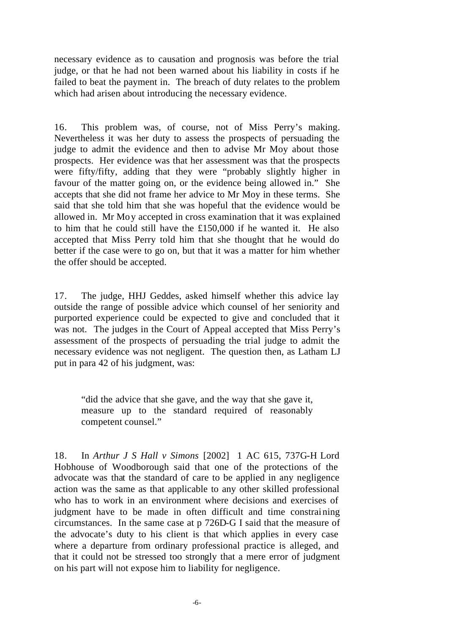necessary evidence as to causation and prognosis was before the trial judge, or that he had not been warned about his liability in costs if he failed to beat the payment in. The breach of duty relates to the problem which had arisen about introducing the necessary evidence.

16. This problem was, of course, not of Miss Perry's making. Nevertheless it was her duty to assess the prospects of persuading the judge to admit the evidence and then to advise Mr Moy about those prospects. Her evidence was that her assessment was that the prospects were fifty/fifty, adding that they were "probably slightly higher in favour of the matter going on, or the evidence being allowed in." She accepts that she did not frame her advice to Mr Moy in these terms. She said that she told him that she was hopeful that the evidence would be allowed in. Mr Moy accepted in cross examination that it was explained to him that he could still have the £150,000 if he wanted it. He also accepted that Miss Perry told him that she thought that he would do better if the case were to go on, but that it was a matter for him whether the offer should be accepted.

17. The judge, HHJ Geddes, asked himself whether this advice lay outside the range of possible advice which counsel of her seniority and purported experience could be expected to give and concluded that it was not. The judges in the Court of Appeal accepted that Miss Perry's assessment of the prospects of persuading the trial judge to admit the necessary evidence was not negligent. The question then, as Latham LJ put in para 42 of his judgment, was:

"did the advice that she gave, and the way that she gave it, measure up to the standard required of reasonably competent counsel."

18. In *Arthur J S Hall v Simons* [2002] 1 AC 615, 737G-H Lord Hobhouse of Woodborough said that one of the protections of the advocate was that the standard of care to be applied in any negligence action was the same as that applicable to any other skilled professional who has to work in an environment where decisions and exercises of judgment have to be made in often difficult and time constraining circumstances. In the same case at p 726D-G I said that the measure of the advocate's duty to his client is that which applies in every case where a departure from ordinary professional practice is alleged, and that it could not be stressed too strongly that a mere error of judgment on his part will not expose him to liability for negligence.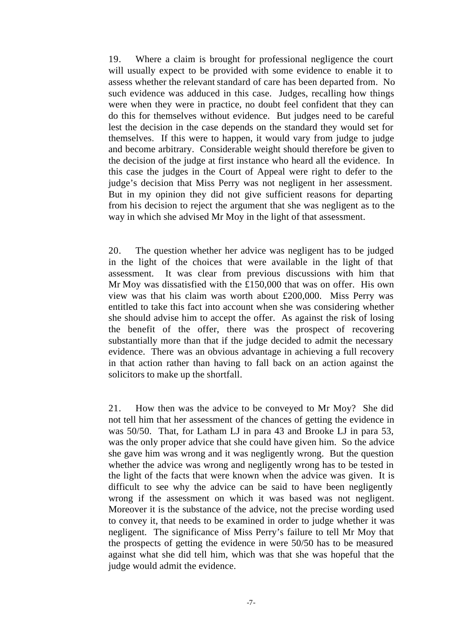19. Where a claim is brought for professional negligence the court will usually expect to be provided with some evidence to enable it to assess whether the relevant standard of care has been departed from. No such evidence was adduced in this case. Judges, recalling how things were when they were in practice, no doubt feel confident that they can do this for themselves without evidence. But judges need to be careful lest the decision in the case depends on the standard they would set for themselves. If this were to happen, it would vary from judge to judge and become arbitrary. Considerable weight should therefore be given to the decision of the judge at first instance who heard all the evidence. In this case the judges in the Court of Appeal were right to defer to the judge's decision that Miss Perry was not negligent in her assessment. But in my opinion they did not give sufficient reasons for departing from his decision to reject the argument that she was negligent as to the way in which she advised Mr Moy in the light of that assessment.

20. The question whether her advice was negligent has to be judged in the light of the choices that were available in the light of that assessment. It was clear from previous discussions with him that Mr Moy was dissatisfied with the £150,000 that was on offer. His own view was that his claim was worth about £200,000. Miss Perry was entitled to take this fact into account when she was considering whether she should advise him to accept the offer. As against the risk of losing the benefit of the offer, there was the prospect of recovering substantially more than that if the judge decided to admit the necessary evidence. There was an obvious advantage in achieving a full recovery in that action rather than having to fall back on an action against the solicitors to make up the shortfall.

21. How then was the advice to be conveyed to Mr Moy? She did not tell him that her assessment of the chances of getting the evidence in was 50/50. That, for Latham LJ in para 43 and Brooke LJ in para 53, was the only proper advice that she could have given him. So the advice she gave him was wrong and it was negligently wrong. But the question whether the advice was wrong and negligently wrong has to be tested in the light of the facts that were known when the advice was given. It is difficult to see why the advice can be said to have been negligently wrong if the assessment on which it was based was not negligent. Moreover it is the substance of the advice, not the precise wording used to convey it, that needs to be examined in order to judge whether it was negligent. The significance of Miss Perry's failure to tell Mr Moy that the prospects of getting the evidence in were 50/50 has to be measured against what she did tell him, which was that she was hopeful that the judge would admit the evidence.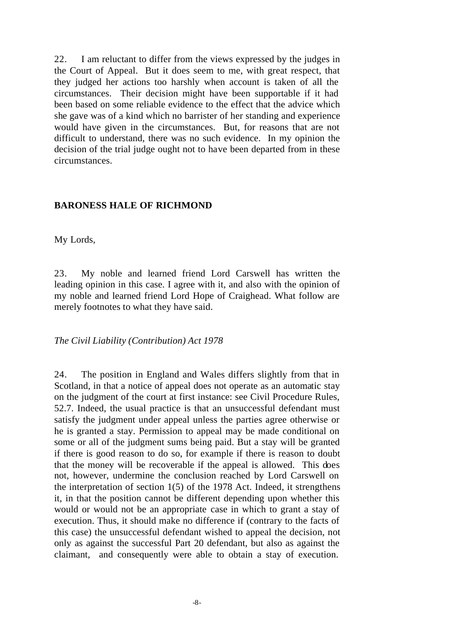22. I am reluctant to differ from the views expressed by the judges in the Court of Appeal. But it does seem to me, with great respect, that they judged her actions too harshly when account is taken of all the circumstances. Their decision might have been supportable if it had been based on some reliable evidence to the effect that the advice which she gave was of a kind which no barrister of her standing and experience would have given in the circumstances. But, for reasons that are not difficult to understand, there was no such evidence. In my opinion the decision of the trial judge ought not to have been departed from in these circumstances.

#### **BARONESS HALE OF RICHMOND**

My Lords,

23. My noble and learned friend Lord Carswell has written the leading opinion in this case. I agree with it, and also with the opinion of my noble and learned friend Lord Hope of Craighead. What follow are merely footnotes to what they have said.

*The Civil Liability (Contribution) Act 1978*

24. The position in England and Wales differs slightly from that in Scotland, in that a notice of appeal does not operate as an automatic stay on the judgment of the court at first instance: see Civil Procedure Rules, 52.7. Indeed, the usual practice is that an unsuccessful defendant must satisfy the judgment under appeal unless the parties agree otherwise or he is granted a stay. Permission to appeal may be made conditional on some or all of the judgment sums being paid. But a stay will be granted if there is good reason to do so, for example if there is reason to doubt that the money will be recoverable if the appeal is allowed. This does not, however, undermine the conclusion reached by Lord Carswell on the interpretation of section  $1(5)$  of the 1978 Act. Indeed, it strengthens it, in that the position cannot be different depending upon whether this would or would not be an appropriate case in which to grant a stay of execution. Thus, it should make no difference if (contrary to the facts of this case) the unsuccessful defendant wished to appeal the decision, not only as against the successful Part 20 defendant, but also as against the claimant, and consequently were able to obtain a stay of execution.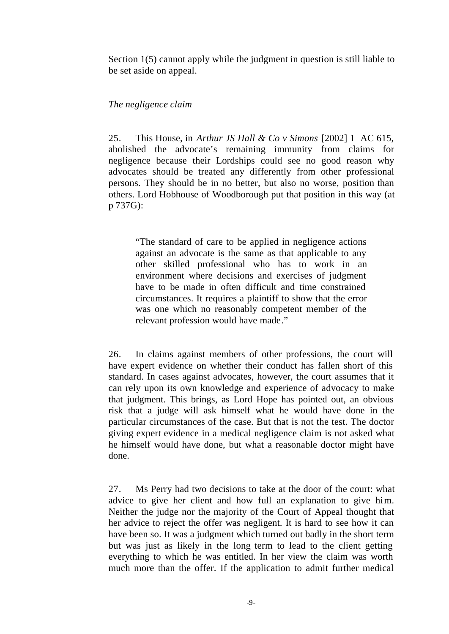Section 1(5) cannot apply while the judgment in question is still liable to be set aside on appeal.

## *The negligence claim*

25. This House, in *Arthur JS Hall & Co v Simons* [2002] 1 AC 615, abolished the advocate's remaining immunity from claims for negligence because their Lordships could see no good reason why advocates should be treated any differently from other professional persons. They should be in no better, but also no worse, position than others. Lord Hobhouse of Woodborough put that position in this way (at p 737G):

"The standard of care to be applied in negligence actions against an advocate is the same as that applicable to any other skilled professional who has to work in an environment where decisions and exercises of judgment have to be made in often difficult and time constrained circumstances. It requires a plaintiff to show that the error was one which no reasonably competent member of the relevant profession would have made."

26. In claims against members of other professions, the court will have expert evidence on whether their conduct has fallen short of this standard. In cases against advocates, however, the court assumes that it can rely upon its own knowledge and experience of advocacy to make that judgment. This brings, as Lord Hope has pointed out, an obvious risk that a judge will ask himself what he would have done in the particular circumstances of the case. But that is not the test. The doctor giving expert evidence in a medical negligence claim is not asked what he himself would have done, but what a reasonable doctor might have done.

27. Ms Perry had two decisions to take at the door of the court: what advice to give her client and how full an explanation to give him. Neither the judge nor the majority of the Court of Appeal thought that her advice to reject the offer was negligent. It is hard to see how it can have been so. It was a judgment which turned out badly in the short term but was just as likely in the long term to lead to the client getting everything to which he was entitled. In her view the claim was worth much more than the offer. If the application to admit further medical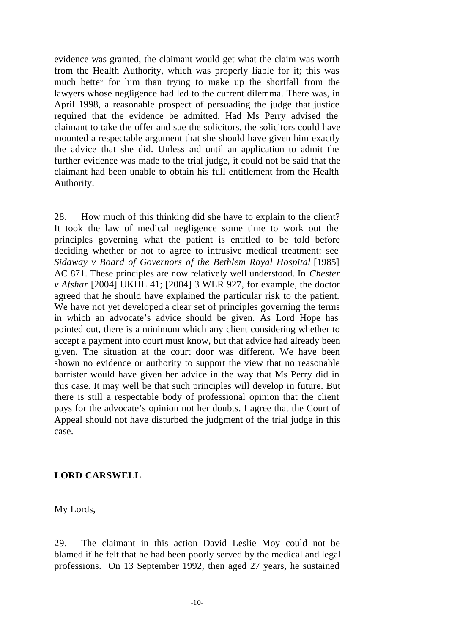evidence was granted, the claimant would get what the claim was worth from the Health Authority, which was properly liable for it; this was much better for him than trying to make up the shortfall from the lawyers whose negligence had led to the current dilemma. There was, in April 1998, a reasonable prospect of persuading the judge that justice required that the evidence be admitted. Had Ms Perry advised the claimant to take the offer and sue the solicitors, the solicitors could have mounted a respectable argument that she should have given him exactly the advice that she did. Unless and until an application to admit the further evidence was made to the trial judge, it could not be said that the claimant had been unable to obtain his full entitlement from the Health Authority.

28. How much of this thinking did she have to explain to the client? It took the law of medical negligence some time to work out the principles governing what the patient is entitled to be told before deciding whether or not to agree to intrusive medical treatment: see *Sidaway v Board of Governors of the Bethlem Royal Hospital* [1985] AC 871. These principles are now relatively well understood. In *Chester v Afshar* [2004] UKHL 41; [2004] 3 WLR 927, for example, the doctor agreed that he should have explained the particular risk to the patient. We have not yet developed a clear set of principles governing the terms in which an advocate's advice should be given. As Lord Hope has pointed out, there is a minimum which any client considering whether to accept a payment into court must know, but that advice had already been given. The situation at the court door was different. We have been shown no evidence or authority to support the view that no reasonable barrister would have given her advice in the way that Ms Perry did in this case. It may well be that such principles will develop in future. But there is still a respectable body of professional opinion that the client pays for the advocate's opinion not her doubts. I agree that the Court of Appeal should not have disturbed the judgment of the trial judge in this case.

## **LORD CARSWELL**

My Lords,

29. The claimant in this action David Leslie Moy could not be blamed if he felt that he had been poorly served by the medical and legal professions. On 13 September 1992, then aged 27 years, he sustained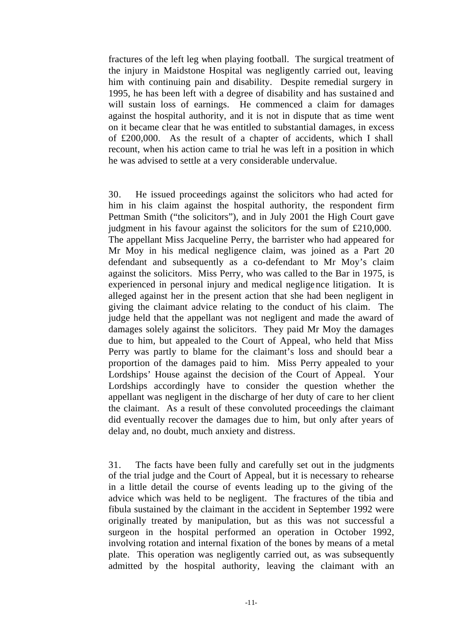fractures of the left leg when playing football. The surgical treatment of the injury in Maidstone Hospital was negligently carried out, leaving him with continuing pain and disability. Despite remedial surgery in 1995, he has been left with a degree of disability and has sustaine d and will sustain loss of earnings. He commenced a claim for damages against the hospital authority, and it is not in dispute that as time went on it became clear that he was entitled to substantial damages, in excess of £200,000. As the result of a chapter of accidents, which I shall recount, when his action came to trial he was left in a position in which he was advised to settle at a very considerable undervalue.

30. He issued proceedings against the solicitors who had acted for him in his claim against the hospital authority, the respondent firm Pettman Smith ("the solicitors"), and in July 2001 the High Court gave judgment in his favour against the solicitors for the sum of £210,000. The appellant Miss Jacqueline Perry, the barrister who had appeared for Mr Moy in his medical negligence claim, was joined as a Part 20 defendant and subsequently as a co-defendant to Mr Moy's claim against the solicitors. Miss Perry, who was called to the Bar in 1975, is experienced in personal injury and medical negligence litigation. It is alleged against her in the present action that she had been negligent in giving the claimant advice relating to the conduct of his claim. The judge held that the appellant was not negligent and made the award of damages solely against the solicitors. They paid Mr Moy the damages due to him, but appealed to the Court of Appeal, who held that Miss Perry was partly to blame for the claimant's loss and should bear a proportion of the damages paid to him. Miss Perry appealed to your Lordships' House against the decision of the Court of Appeal. Your Lordships accordingly have to consider the question whether the appellant was negligent in the discharge of her duty of care to her client the claimant. As a result of these convoluted proceedings the claimant did eventually recover the damages due to him, but only after years of delay and, no doubt, much anxiety and distress.

31. The facts have been fully and carefully set out in the judgments of the trial judge and the Court of Appeal, but it is necessary to rehearse in a little detail the course of events leading up to the giving of the advice which was held to be negligent. The fractures of the tibia and fibula sustained by the claimant in the accident in September 1992 were originally treated by manipulation, but as this was not successful a surgeon in the hospital performed an operation in October 1992, involving rotation and internal fixation of the bones by means of a metal plate. This operation was negligently carried out, as was subsequently admitted by the hospital authority, leaving the claimant with an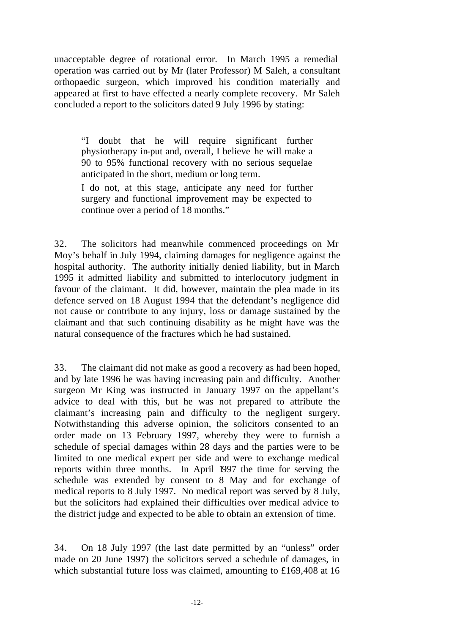unacceptable degree of rotational error. In March 1995 a remedial operation was carried out by Mr (later Professor) M Saleh, a consultant orthopaedic surgeon, which improved his condition materially and appeared at first to have effected a nearly complete recovery. Mr Saleh concluded a report to the solicitors dated 9 July 1996 by stating:

"I doubt that he will require significant further physiotherapy in-put and, overall, I believe he will make a 90 to 95% functional recovery with no serious sequelae anticipated in the short, medium or long term.

I do not, at this stage, anticipate any need for further surgery and functional improvement may be expected to continue over a period of 18 months."

32. The solicitors had meanwhile commenced proceedings on Mr Moy's behalf in July 1994, claiming damages for negligence against the hospital authority. The authority initially denied liability, but in March 1995 it admitted liability and submitted to interlocutory judgment in favour of the claimant. It did, however, maintain the plea made in its defence served on 18 August 1994 that the defendant's negligence did not cause or contribute to any injury, loss or damage sustained by the claimant and that such continuing disability as he might have was the natural consequence of the fractures which he had sustained.

33. The claimant did not make as good a recovery as had been hoped, and by late 1996 he was having increasing pain and difficulty. Another surgeon Mr King was instructed in January 1997 on the appellant's advice to deal with this, but he was not prepared to attribute the claimant's increasing pain and difficulty to the negligent surgery. Notwithstanding this adverse opinion, the solicitors consented to an order made on 13 February 1997, whereby they were to furnish a schedule of special damages within 28 days and the parties were to be limited to one medical expert per side and were to exchange medical reports within three months. In April 1997 the time for serving the schedule was extended by consent to 8 May and for exchange of medical reports to 8 July 1997. No medical report was served by 8 July, but the solicitors had explained their difficulties over medical advice to the district judge and expected to be able to obtain an extension of time.

34. On 18 July 1997 (the last date permitted by an "unless" order made on 20 June 1997) the solicitors served a schedule of damages, in which substantial future loss was claimed, amounting to £169,408 at 16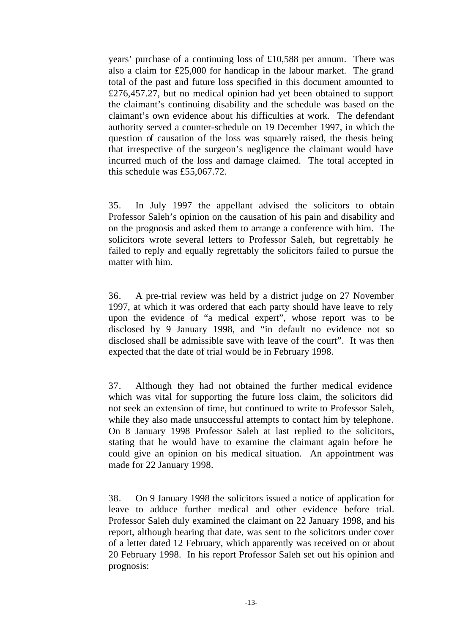years' purchase of a continuing loss of £10,588 per annum. There was also a claim for £25,000 for handicap in the labour market. The grand total of the past and future loss specified in this document amounted to £276,457.27, but no medical opinion had yet been obtained to support the claimant's continuing disability and the schedule was based on the claimant's own evidence about his difficulties at work. The defendant authority served a counter-schedule on 19 December 1997, in which the question of causation of the loss was squarely raised, the thesis being that irrespective of the surgeon's negligence the claimant would have incurred much of the loss and damage claimed. The total accepted in this schedule was £55,067.72.

35. In July 1997 the appellant advised the solicitors to obtain Professor Saleh's opinion on the causation of his pain and disability and on the prognosis and asked them to arrange a conference with him. The solicitors wrote several letters to Professor Saleh, but regrettably he failed to reply and equally regrettably the solicitors failed to pursue the matter with him.

36. A pre-trial review was held by a district judge on 27 November 1997, at which it was ordered that each party should have leave to rely upon the evidence of "a medical expert", whose report was to be disclosed by 9 January 1998, and "in default no evidence not so disclosed shall be admissible save with leave of the court". It was then expected that the date of trial would be in February 1998.

37. Although they had not obtained the further medical evidence which was vital for supporting the future loss claim, the solicitors did not seek an extension of time, but continued to write to Professor Saleh, while they also made unsuccessful attempts to contact him by telephone. On 8 January 1998 Professor Saleh at last replied to the solicitors, stating that he would have to examine the claimant again before he could give an opinion on his medical situation. An appointment was made for 22 January 1998.

38. On 9 January 1998 the solicitors issued a notice of application for leave to adduce further medical and other evidence before trial. Professor Saleh duly examined the claimant on 22 January 1998, and his report, although bearing that date, was sent to the solicitors under cover of a letter dated 12 February, which apparently was received on or about 20 February 1998. In his report Professor Saleh set out his opinion and prognosis: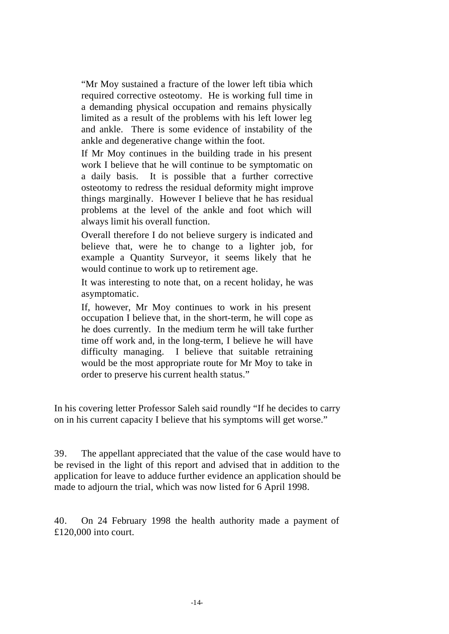"Mr Moy sustained a fracture of the lower left tibia which required corrective osteotomy. He is working full time in a demanding physical occupation and remains physically limited as a result of the problems with his left lower leg and ankle. There is some evidence of instability of the ankle and degenerative change within the foot.

If Mr Moy continues in the building trade in his present work I believe that he will continue to be symptomatic on a daily basis. It is possible that a further corrective osteotomy to redress the residual deformity might improve things marginally. However I believe that he has residual problems at the level of the ankle and foot which will always limit his overall function.

Overall therefore I do not believe surgery is indicated and believe that, were he to change to a lighter job, for example a Quantity Surveyor, it seems likely that he would continue to work up to retirement age.

It was interesting to note that, on a recent holiday, he was asymptomatic.

If, however, Mr Moy continues to work in his present occupation I believe that, in the short-term, he will cope as he does currently. In the medium term he will take further time off work and, in the long-term, I believe he will have difficulty managing. I believe that suitable retraining would be the most appropriate route for Mr Moy to take in order to preserve his current health status."

In his covering letter Professor Saleh said roundly "If he decides to carry on in his current capacity I believe that his symptoms will get worse."

39. The appellant appreciated that the value of the case would have to be revised in the light of this report and advised that in addition to the application for leave to adduce further evidence an application should be made to adjourn the trial, which was now listed for 6 April 1998.

40. On 24 February 1998 the health authority made a payment of £120,000 into court.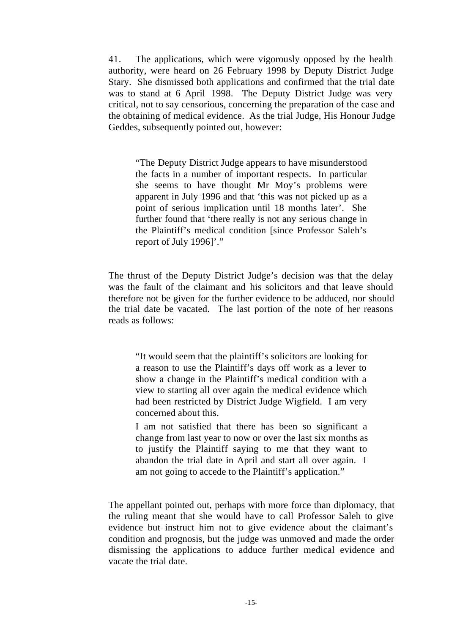41. The applications, which were vigorously opposed by the health authority, were heard on 26 February 1998 by Deputy District Judge Stary. She dismissed both applications and confirmed that the trial date was to stand at 6 April 1998. The Deputy District Judge was very critical, not to say censorious, concerning the preparation of the case and the obtaining of medical evidence. As the trial Judge, His Honour Judge Geddes, subsequently pointed out, however:

"The Deputy District Judge appears to have misunderstood the facts in a number of important respects. In particular she seems to have thought Mr Moy's problems were apparent in July 1996 and that 'this was not picked up as a point of serious implication until 18 months later'. She further found that 'there really is not any serious change in the Plaintiff's medical condition [since Professor Saleh's report of July 1996]'."

The thrust of the Deputy District Judge's decision was that the delay was the fault of the claimant and his solicitors and that leave should therefore not be given for the further evidence to be adduced, nor should the trial date be vacated. The last portion of the note of her reasons reads as follows:

"It would seem that the plaintiff's solicitors are looking for a reason to use the Plaintiff's days off work as a lever to show a change in the Plaintiff's medical condition with a view to starting all over again the medical evidence which had been restricted by District Judge Wigfield. I am very concerned about this.

I am not satisfied that there has been so significant a change from last year to now or over the last six months as to justify the Plaintiff saying to me that they want to abandon the trial date in April and start all over again. I am not going to accede to the Plaintiff's application."

The appellant pointed out, perhaps with more force than diplomacy, that the ruling meant that she would have to call Professor Saleh to give evidence but instruct him not to give evidence about the claimant's condition and prognosis, but the judge was unmoved and made the order dismissing the applications to adduce further medical evidence and vacate the trial date.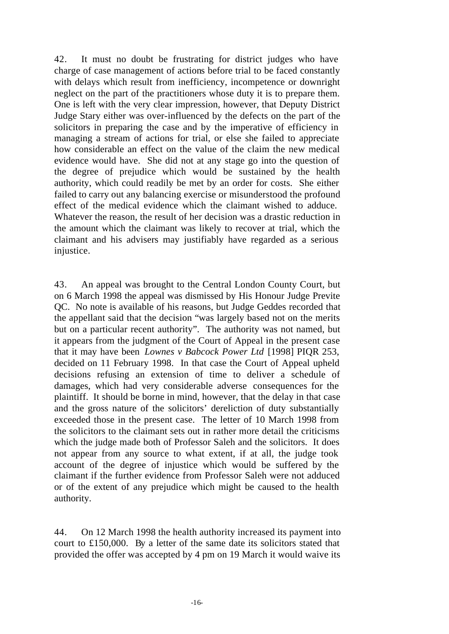42. It must no doubt be frustrating for district judges who have charge of case management of actions before trial to be faced constantly with delays which result from inefficiency, incompetence or downright neglect on the part of the practitioners whose duty it is to prepare them. One is left with the very clear impression, however, that Deputy District Judge Stary either was over-influenced by the defects on the part of the solicitors in preparing the case and by the imperative of efficiency in managing a stream of actions for trial, or else she failed to appreciate how considerable an effect on the value of the claim the new medical evidence would have. She did not at any stage go into the question of the degree of prejudice which would be sustained by the health authority, which could readily be met by an order for costs. She either failed to carry out any balancing exercise or misunderstood the profound effect of the medical evidence which the claimant wished to adduce. Whatever the reason, the result of her decision was a drastic reduction in the amount which the claimant was likely to recover at trial, which the claimant and his advisers may justifiably have regarded as a serious injustice.

43. An appeal was brought to the Central London County Court, but on 6 March 1998 the appeal was dismissed by His Honour Judge Previte QC. No note is available of his reasons, but Judge Geddes recorded that the appellant said that the decision "was largely based not on the merits but on a particular recent authority". The authority was not named, but it appears from the judgment of the Court of Appeal in the present case that it may have been *Lownes v Babcock Power Ltd* [1998] PIQR 253, decided on 11 February 1998. In that case the Court of Appeal upheld decisions refusing an extension of time to deliver a schedule of damages, which had very considerable adverse consequences for the plaintiff. It should be borne in mind, however, that the delay in that case and the gross nature of the solicitors' dereliction of duty substantially exceeded those in the present case. The letter of 10 March 1998 from the solicitors to the claimant sets out in rather more detail the criticisms which the judge made both of Professor Saleh and the solicitors. It does not appear from any source to what extent, if at all, the judge took account of the degree of injustice which would be suffered by the claimant if the further evidence from Professor Saleh were not adduced or of the extent of any prejudice which might be caused to the health authority.

44. On 12 March 1998 the health authority increased its payment into court to £150,000. By a letter of the same date its solicitors stated that provided the offer was accepted by 4 pm on 19 March it would waive its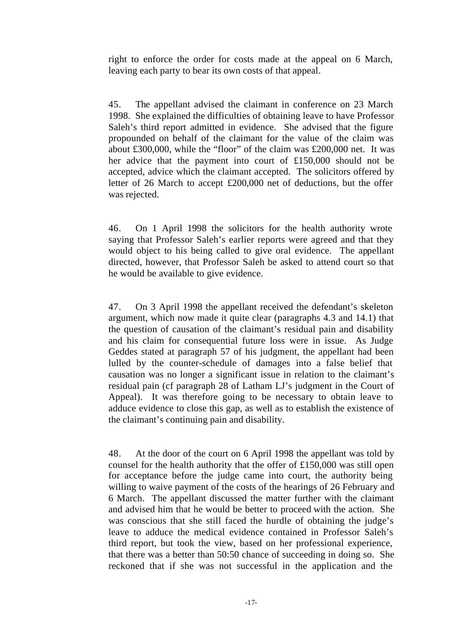right to enforce the order for costs made at the appeal on 6 March, leaving each party to bear its own costs of that appeal.

45. The appellant advised the claimant in conference on 23 March 1998. She explained the difficulties of obtaining leave to have Professor Saleh's third report admitted in evidence. She advised that the figure propounded on behalf of the claimant for the value of the claim was about £300,000, while the "floor" of the claim was £200,000 net. It was her advice that the payment into court of £150,000 should not be accepted, advice which the claimant accepted. The solicitors offered by letter of 26 March to accept £200,000 net of deductions, but the offer was rejected.

46. On 1 April 1998 the solicitors for the health authority wrote saying that Professor Saleh's earlier reports were agreed and that they would object to his being called to give oral evidence. The appellant directed, however, that Professor Saleh be asked to attend court so that he would be available to give evidence.

47. On 3 April 1998 the appellant received the defendant's skeleton argument, which now made it quite clear (paragraphs 4.3 and 14.1) that the question of causation of the claimant's residual pain and disability and his claim for consequential future loss were in issue. As Judge Geddes stated at paragraph 57 of his judgment, the appellant had been lulled by the counter-schedule of damages into a false belief that causation was no longer a significant issue in relation to the claimant's residual pain (cf paragraph 28 of Latham LJ's judgment in the Court of Appeal). It was therefore going to be necessary to obtain leave to adduce evidence to close this gap, as well as to establish the existence of the claimant's continuing pain and disability.

48. At the door of the court on 6 April 1998 the appellant was told by counsel for the health authority that the offer of £150,000 was still open for acceptance before the judge came into court, the authority being willing to waive payment of the costs of the hearings of 26 February and 6 March. The appellant discussed the matter further with the claimant and advised him that he would be better to proceed with the action. She was conscious that she still faced the hurdle of obtaining the judge's leave to adduce the medical evidence contained in Professor Saleh's third report, but took the view, based on her professional experience, that there was a better than 50:50 chance of succeeding in doing so. She reckoned that if she was not successful in the application and the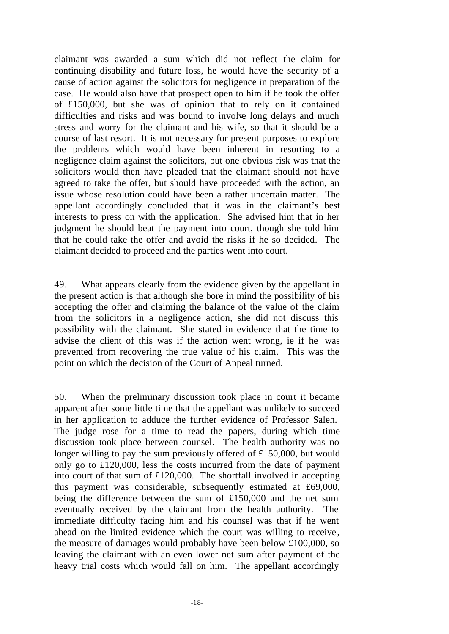claimant was awarded a sum which did not reflect the claim for continuing disability and future loss, he would have the security of a cause of action against the solicitors for negligence in preparation of the case. He would also have that prospect open to him if he took the offer of £150,000, but she was of opinion that to rely on it contained difficulties and risks and was bound to involve long delays and much stress and worry for the claimant and his wife, so that it should be a course of last resort. It is not necessary for present purposes to explore the problems which would have been inherent in resorting to a negligence claim against the solicitors, but one obvious risk was that the solicitors would then have pleaded that the claimant should not have agreed to take the offer, but should have proceeded with the action, an issue whose resolution could have been a rather uncertain matter. The appellant accordingly concluded that it was in the claimant's best interests to press on with the application. She advised him that in her judgment he should beat the payment into court, though she told him that he could take the offer and avoid the risks if he so decided. The claimant decided to proceed and the parties went into court.

49. What appears clearly from the evidence given by the appellant in the present action is that although she bore in mind the possibility of his accepting the offer and claiming the balance of the value of the claim from the solicitors in a negligence action, she did not discuss this possibility with the claimant. She stated in evidence that the time to advise the client of this was if the action went wrong, ie if he was prevented from recovering the true value of his claim. This was the point on which the decision of the Court of Appeal turned.

50. When the preliminary discussion took place in court it became apparent after some little time that the appellant was unlikely to succeed in her application to adduce the further evidence of Professor Saleh. The judge rose for a time to read the papers, during which time discussion took place between counsel. The health authority was no longer willing to pay the sum previously offered of £150,000, but would only go to £120,000, less the costs incurred from the date of payment into court of that sum of £120,000. The shortfall involved in accepting this payment was considerable, subsequently estimated at £69,000, being the difference between the sum of £150,000 and the net sum eventually received by the claimant from the health authority. The immediate difficulty facing him and his counsel was that if he went ahead on the limited evidence which the court was willing to receive , the measure of damages would probably have been below £100,000, so leaving the claimant with an even lower net sum after payment of the heavy trial costs which would fall on him. The appellant accordingly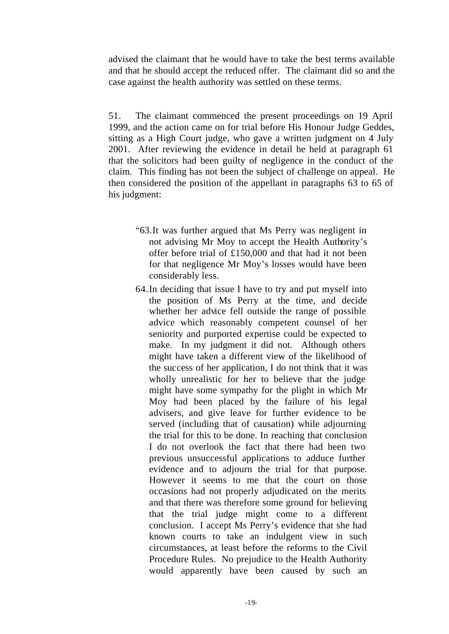advised the claimant that he would have to take the best terms available and that he should accept the reduced offer. The claimant did so and the case against the health authority was settled on these terms.

51. The claimant commenced the present proceedings on 19 April 1999, and the action came on for trial before His Honour Judge Geddes, sitting as a High Court judge, who gave a written judgment on 4 July 2001. After reviewing the evidence in detail he held at paragraph 61 that the solicitors had been guilty of negligence in the conduct of the claim. This finding has not been the subject of challenge on appeal. He then considered the position of the appellant in paragraphs 63 to 65 of his judgment:

- "63.It was further argued that Ms Perry was negligent in not advising Mr Moy to accept the Health Authority's offer before trial of £150,000 and that had it not been for that negligence Mr Moy's losses would have been considerably less.
- 64.In deciding that issue I have to try and put myself into the position of Ms Perry at the time, and decide whether her advice fell outside the range of possible advice which reasonably competent counsel of her seniority and purported expertise could be expected to make. In my judgment it did not. Although others might have taken a different view of the likelihood of the success of her application, I do not think that it was wholly unrealistic for her to believe that the judge might have some sympathy for the plight in which Mr Moy had been placed by the failure of his legal advisers, and give leave for further evidence to be served (including that of causation) while adjourning the trial for this to be done. In reaching that conclusion I do not overlook the fact that there had been two previous unsuccessful applications to adduce further evidence and to adjourn the trial for that purpose. However it seems to me that the court on those occasions had not properly adjudicated on the merits and that there was therefore some ground for believing that the trial judge might come to a different conclusion. I accept Ms Perry's evidence that she had known courts to take an indulgent view in such circumstances, at least before the reforms to the Civil Procedure Rules. No prejudice to the Health Authority would apparently have been caused by such an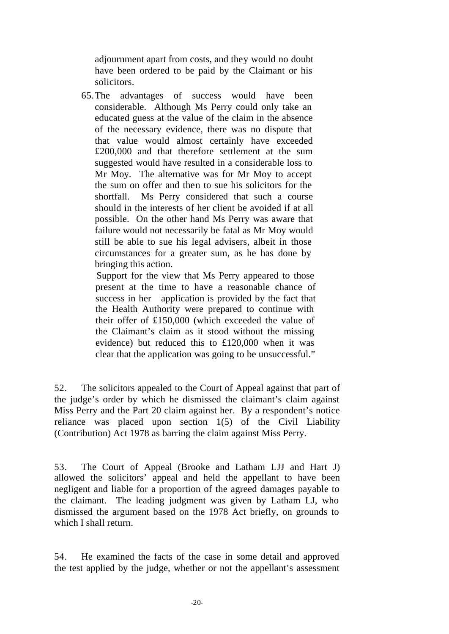adjournment apart from costs, and they would no doubt have been ordered to be paid by the Claimant or his solicitors.

65.The advantages of success would have been considerable. Although Ms Perry could only take an educated guess at the value of the claim in the absence of the necessary evidence, there was no dispute that that value would almost certainly have exceeded £200,000 and that therefore settlement at the sum suggested would have resulted in a considerable loss to Mr Moy. The alternative was for Mr Moy to accept the sum on offer and then to sue his solicitors for the shortfall. Ms Perry considered that such a course should in the interests of her client be avoided if at all possible. On the other hand Ms Perry was aware that failure would not necessarily be fatal as Mr Moy would still be able to sue his legal advisers, albeit in those circumstances for a greater sum, as he has done by bringing this action.

Support for the view that Ms Perry appeared to those present at the time to have a reasonable chance of success in her application is provided by the fact that the Health Authority were prepared to continue with their offer of £150,000 (which exceeded the value of the Claimant's claim as it stood without the missing evidence) but reduced this to £120,000 when it was clear that the application was going to be unsuccessful."

52. The solicitors appealed to the Court of Appeal against that part of the judge's order by which he dismissed the claimant's claim against Miss Perry and the Part 20 claim against her. By a respondent's notice reliance was placed upon section 1(5) of the Civil Liability (Contribution) Act 1978 as barring the claim against Miss Perry.

53. The Court of Appeal (Brooke and Latham LJJ and Hart J) allowed the solicitors' appeal and held the appellant to have been negligent and liable for a proportion of the agreed damages payable to the claimant. The leading judgment was given by Latham LJ, who dismissed the argument based on the 1978 Act briefly, on grounds to which I shall return.

54. He examined the facts of the case in some detail and approved the test applied by the judge, whether or not the appellant's assessment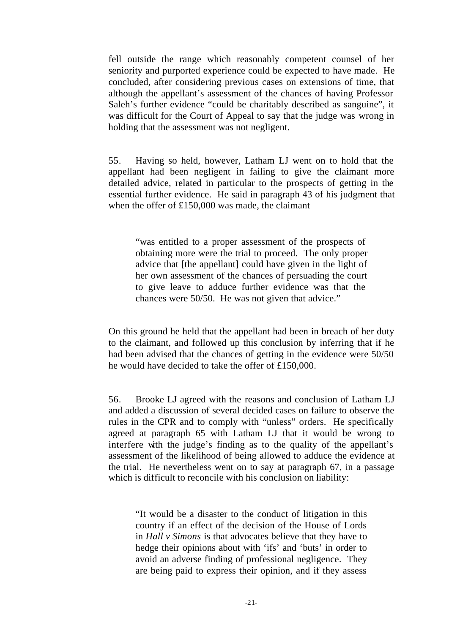fell outside the range which reasonably competent counsel of her seniority and purported experience could be expected to have made. He concluded, after considering previous cases on extensions of time, that although the appellant's assessment of the chances of having Professor Saleh's further evidence "could be charitably described as sanguine", it was difficult for the Court of Appeal to say that the judge was wrong in holding that the assessment was not negligent.

55. Having so held, however, Latham LJ went on to hold that the appellant had been negligent in failing to give the claimant more detailed advice, related in particular to the prospects of getting in the essential further evidence. He said in paragraph 43 of his judgment that when the offer of £150,000 was made, the claimant

"was entitled to a proper assessment of the prospects of obtaining more were the trial to proceed. The only proper advice that [the appellant] could have given in the light of her own assessment of the chances of persuading the court to give leave to adduce further evidence was that the chances were 50/50. He was not given that advice."

On this ground he held that the appellant had been in breach of her duty to the claimant, and followed up this conclusion by inferring that if he had been advised that the chances of getting in the evidence were 50/50 he would have decided to take the offer of £150,000.

56. Brooke LJ agreed with the reasons and conclusion of Latham LJ and added a discussion of several decided cases on failure to observe the rules in the CPR and to comply with "unless" orders. He specifically agreed at paragraph 65 with Latham LJ that it would be wrong to interfere with the judge's finding as to the quality of the appellant's assessment of the likelihood of being allowed to adduce the evidence at the trial. He nevertheless went on to say at paragraph 67, in a passage which is difficult to reconcile with his conclusion on liability:

"It would be a disaster to the conduct of litigation in this country if an effect of the decision of the House of Lords in *Hall v Simons* is that advocates believe that they have to hedge their opinions about with 'ifs' and 'buts' in order to avoid an adverse finding of professional negligence. They are being paid to express their opinion, and if they assess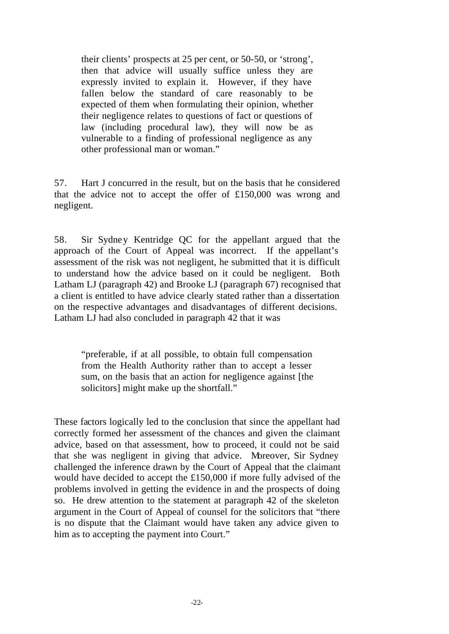their clients' prospects at 25 per cent, or 50-50, or 'strong', then that advice will usually suffice unless they are expressly invited to explain it. However, if they have fallen below the standard of care reasonably to be expected of them when formulating their opinion, whether their negligence relates to questions of fact or questions of law (including procedural law), they will now be as vulnerable to a finding of professional negligence as any other professional man or woman."

57. Hart J concurred in the result, but on the basis that he considered that the advice not to accept the offer of £150,000 was wrong and negligent.

58. Sir Sydney Kentridge QC for the appellant argued that the approach of the Court of Appeal was incorrect. If the appellant's assessment of the risk was not negligent, he submitted that it is difficult to understand how the advice based on it could be negligent. Both Latham LJ (paragraph 42) and Brooke LJ (paragraph 67) recognised that a client is entitled to have advice clearly stated rather than a dissertation on the respective advantages and disadvantages of different decisions. Latham LJ had also concluded in paragraph 42 that it was

"preferable, if at all possible, to obtain full compensation from the Health Authority rather than to accept a lesser sum, on the basis that an action for negligence against [the solicitors] might make up the shortfall."

These factors logically led to the conclusion that since the appellant had correctly formed her assessment of the chances and given the claimant advice, based on that assessment, how to proceed, it could not be said that she was negligent in giving that advice. Moreover, Sir Sydney challenged the inference drawn by the Court of Appeal that the claimant would have decided to accept the £150,000 if more fully advised of the problems involved in getting the evidence in and the prospects of doing so. He drew attention to the statement at paragraph 42 of the skeleton argument in the Court of Appeal of counsel for the solicitors that "there is no dispute that the Claimant would have taken any advice given to him as to accepting the payment into Court."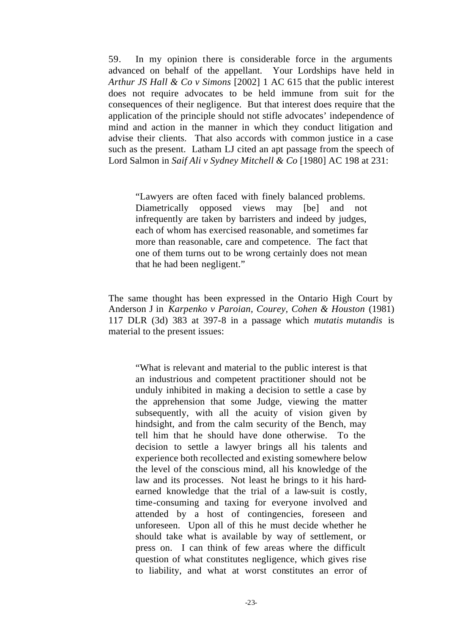59. In my opinion there is considerable force in the arguments advanced on behalf of the appellant. Your Lordships have held in *Arthur JS Hall & Co v Simons* [2002] 1 AC 615 that the public interest does not require advocates to be held immune from suit for the consequences of their negligence. But that interest does require that the application of the principle should not stifle advocates' independence of mind and action in the manner in which they conduct litigation and advise their clients. That also accords with common justice in a case such as the present. Latham LJ cited an apt passage from the speech of Lord Salmon in *Saif Ali v Sydney Mitchell & Co* [1980] AC 198 at 231:

"Lawyers are often faced with finely balanced problems. Diametrically opposed views may [be] and not infrequently are taken by barristers and indeed by judges, each of whom has exercised reasonable, and sometimes far more than reasonable, care and competence. The fact that one of them turns out to be wrong certainly does not mean that he had been negligent."

The same thought has been expressed in the Ontario High Court by Anderson J in *Karpenko v Paroian, Courey, Cohen & Houston* (1981) 117 DLR (3d) 383 at 397-8 in a passage which *mutatis mutandis* is material to the present issues:

"What is relevant and material to the public interest is that an industrious and competent practitioner should not be unduly inhibited in making a decision to settle a case by the apprehension that some Judge, viewing the matter subsequently, with all the acuity of vision given by hindsight, and from the calm security of the Bench, may tell him that he should have done otherwise. To the decision to settle a lawyer brings all his talents and experience both recollected and existing somewhere below the level of the conscious mind, all his knowledge of the law and its processes. Not least he brings to it his hardearned knowledge that the trial of a law-suit is costly, time-consuming and taxing for everyone involved and attended by a host of contingencies, foreseen and unforeseen. Upon all of this he must decide whether he should take what is available by way of settlement, or press on. I can think of few areas where the difficult question of what constitutes negligence, which gives rise to liability, and what at worst constitutes an error of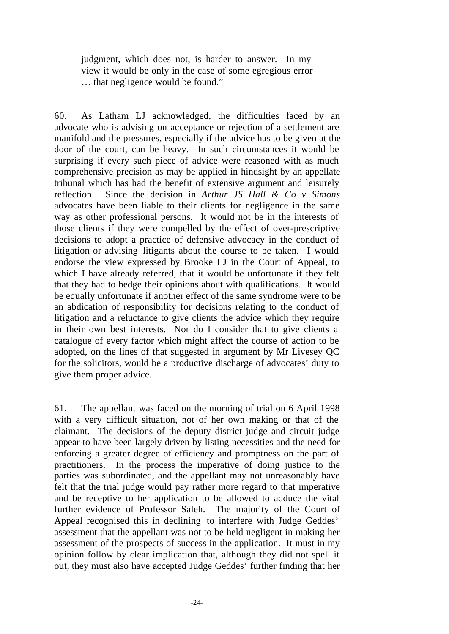judgment, which does not, is harder to answer. In my view it would be only in the case of some egregious error … that negligence would be found."

60. As Latham LJ acknowledged, the difficulties faced by an advocate who is advising on acceptance or rejection of a settlement are manifold and the pressures, especially if the advice has to be given at the door of the court, can be heavy. In such circumstances it would be surprising if every such piece of advice were reasoned with as much comprehensive precision as may be applied in hindsight by an appellate tribunal which has had the benefit of extensive argument and leisurely reflection. Since the decision in *Arthur JS Hall & Co v Simons* advocates have been liable to their clients for negligence in the same way as other professional persons. It would not be in the interests of those clients if they were compelled by the effect of over-prescriptive decisions to adopt a practice of defensive advocacy in the conduct of litigation or advising litigants about the course to be taken. I would endorse the view expressed by Brooke LJ in the Court of Appeal, to which I have already referred, that it would be unfortunate if they felt that they had to hedge their opinions about with qualifications. It would be equally unfortunate if another effect of the same syndrome were to be an abdication of responsibility for decisions relating to the conduct of litigation and a reluctance to give clients the advice which they require in their own best interests. Nor do I consider that to give clients a catalogue of every factor which might affect the course of action to be adopted, on the lines of that suggested in argument by Mr Livesey QC for the solicitors, would be a productive discharge of advocates' duty to give them proper advice.

61. The appellant was faced on the morning of trial on 6 April 1998 with a very difficult situation, not of her own making or that of the claimant. The decisions of the deputy district judge and circuit judge appear to have been largely driven by listing necessities and the need for enforcing a greater degree of efficiency and promptness on the part of practitioners. In the process the imperative of doing justice to the parties was subordinated, and the appellant may not unreasonably have felt that the trial judge would pay rather more regard to that imperative and be receptive to her application to be allowed to adduce the vital further evidence of Professor Saleh. The majority of the Court of Appeal recognised this in declining to interfere with Judge Geddes' assessment that the appellant was not to be held negligent in making her assessment of the prospects of success in the application. It must in my opinion follow by clear implication that, although they did not spell it out, they must also have accepted Judge Geddes' further finding that her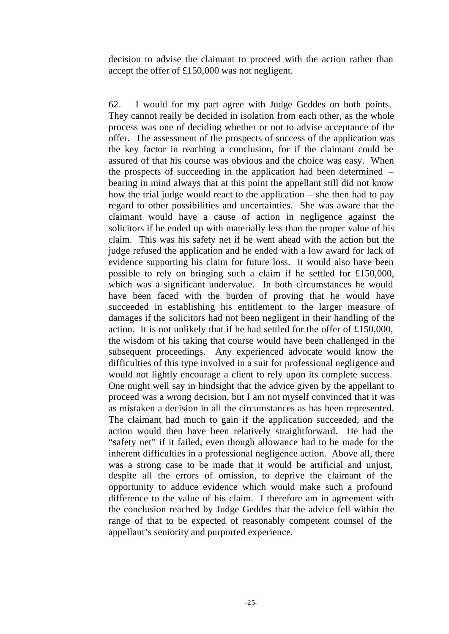decision to advise the claimant to proceed with the action rather than accept the offer of £150,000 was not negligent.

62. I would for my part agree with Judge Geddes on both points. They cannot really be decided in isolation from each other, as the whole process was one of deciding whether or not to advise acceptance of the offer. The assessment of the prospects of success of the application was the key factor in reaching a conclusion, for if the claimant could be assured of that his course was obvious and the choice was easy. When the prospects of succeeding in the application had been determined – bearing in mind always that at this point the appellant still did not know how the trial judge would react to the application – she then had to pay regard to other possibilities and uncertainties. She was aware that the claimant would have a cause of action in negligence against the solicitors if he ended up with materially less than the proper value of his claim. This was his safety net if he went ahead with the action but the judge refused the application and he ended with a low award for lack of evidence supporting his claim for future loss. It would also have been possible to rely on bringing such a claim if he settled for £150,000, which was a significant undervalue. In both circumstances he would have been faced with the burden of proving that he would have succeeded in establishing his entitlement to the larger measure of damages if the solicitors had not been negligent in their handling of the action. It is not unlikely that if he had settled for the offer of £150,000, the wisdom of his taking that course would have been challenged in the subsequent proceedings. Any experienced advocate would know the difficulties of this type involved in a suit for professional negligence and would not lightly encourage a client to rely upon its complete success. One might well say in hindsight that the advice given by the appellant to proceed was a wrong decision, but I am not myself convinced that it was as mistaken a decision in all the circumstances as has been represented. The claimant had much to gain if the application succeeded, and the action would then have been relatively straightforward. He had the "safety net" if it failed, even though allowance had to be made for the inherent difficulties in a professional negligence action. Above all, there was a strong case to be made that it would be artificial and unjust, despite all the errors of omission, to deprive the claimant of the opportunity to adduce evidence which would make such a profound difference to the value of his claim. I therefore am in agreement with the conclusion reached by Judge Geddes that the advice fell within the range of that to be expected of reasonably competent counsel of the appellant's seniority and purported experience.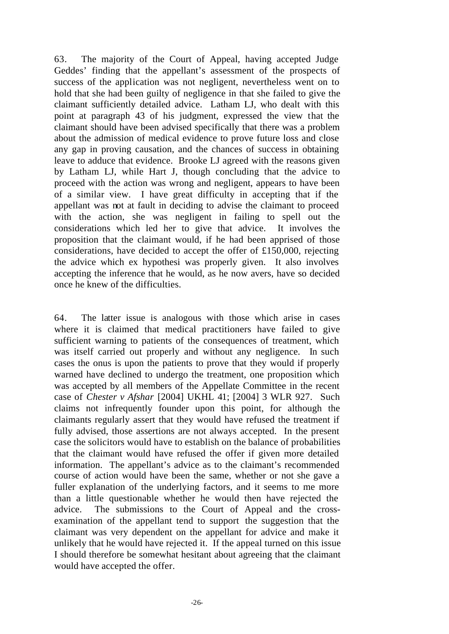63. The majority of the Court of Appeal, having accepted Judge Geddes' finding that the appellant's assessment of the prospects of success of the application was not negligent, nevertheless went on to hold that she had been guilty of negligence in that she failed to give the claimant sufficiently detailed advice. Latham LJ, who dealt with this point at paragraph 43 of his judgment, expressed the view that the claimant should have been advised specifically that there was a problem about the admission of medical evidence to prove future loss and close any gap in proving causation, and the chances of success in obtaining leave to adduce that evidence. Brooke LJ agreed with the reasons given by Latham LJ, while Hart J, though concluding that the advice to proceed with the action was wrong and negligent, appears to have been of a similar view. I have great difficulty in accepting that if the appellant was not at fault in deciding to advise the claimant to proceed with the action, she was negligent in failing to spell out the considerations which led her to give that advice. It involves the proposition that the claimant would, if he had been apprised of those considerations, have decided to accept the offer of £150,000, rejecting the advice which ex hypothesi was properly given. It also involves accepting the inference that he would, as he now avers, have so decided once he knew of the difficulties.

64. The latter issue is analogous with those which arise in cases where it is claimed that medical practitioners have failed to give sufficient warning to patients of the consequences of treatment, which was itself carried out properly and without any negligence. In such cases the onus is upon the patients to prove that they would if properly warned have declined to undergo the treatment, one proposition which was accepted by all members of the Appellate Committee in the recent case of *Chester v Afshar* [2004] UKHL 41; [2004] 3 WLR 927. Such claims not infrequently founder upon this point, for although the claimants regularly assert that they would have refused the treatment if fully advised, those assertions are not always accepted. In the present case the solicitors would have to establish on the balance of probabilities that the claimant would have refused the offer if given more detailed information. The appellant's advice as to the claimant's recommended course of action would have been the same, whether or not she gave a fuller explanation of the underlying factors, and it seems to me more than a little questionable whether he would then have rejected the advice. The submissions to the Court of Appeal and the crossexamination of the appellant tend to support the suggestion that the claimant was very dependent on the appellant for advice and make it unlikely that he would have rejected it. If the appeal turned on this issue I should therefore be somewhat hesitant about agreeing that the claimant would have accepted the offer.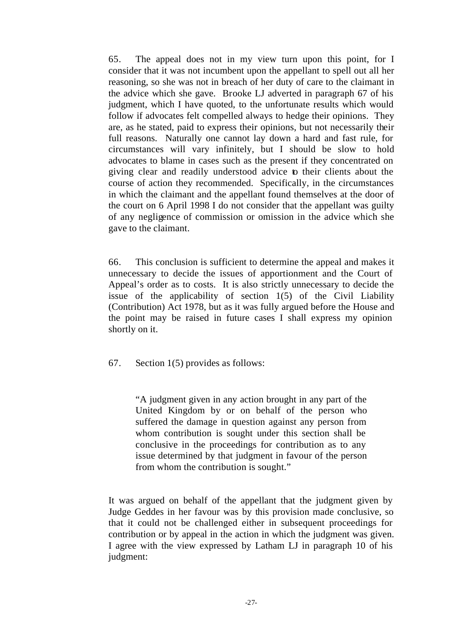65. The appeal does not in my view turn upon this point, for I consider that it was not incumbent upon the appellant to spell out all her reasoning, so she was not in breach of her duty of care to the claimant in the advice which she gave. Brooke LJ adverted in paragraph 67 of his judgment, which I have quoted, to the unfortunate results which would follow if advocates felt compelled always to hedge their opinions. They are, as he stated, paid to express their opinions, but not necessarily their full reasons. Naturally one cannot lay down a hard and fast rule, for circumstances will vary infinitely, but I should be slow to hold advocates to blame in cases such as the present if they concentrated on giving clear and readily understood advice to their clients about the course of action they recommended. Specifically, in the circumstances in which the claimant and the appellant found themselves at the door of the court on 6 April 1998 I do not consider that the appellant was guilty of any negligence of commission or omission in the advice which she gave to the claimant.

66. This conclusion is sufficient to determine the appeal and makes it unnecessary to decide the issues of apportionment and the Court of Appeal's order as to costs. It is also strictly unnecessary to decide the issue of the applicability of section  $1(5)$  of the Civil Liability (Contribution) Act 1978, but as it was fully argued before the House and the point may be raised in future cases I shall express my opinion shortly on it.

67. Section 1(5) provides as follows:

"A judgment given in any action brought in any part of the United Kingdom by or on behalf of the person who suffered the damage in question against any person from whom contribution is sought under this section shall be conclusive in the proceedings for contribution as to any issue determined by that judgment in favour of the person from whom the contribution is sought."

It was argued on behalf of the appellant that the judgment given by Judge Geddes in her favour was by this provision made conclusive, so that it could not be challenged either in subsequent proceedings for contribution or by appeal in the action in which the judgment was given. I agree with the view expressed by Latham LJ in paragraph 10 of his judgment: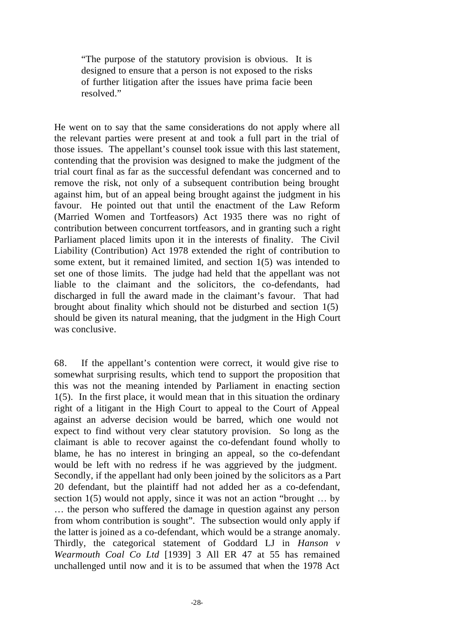"The purpose of the statutory provision is obvious. It is designed to ensure that a person is not exposed to the risks of further litigation after the issues have prima facie been resolved."

He went on to say that the same considerations do not apply where all the relevant parties were present at and took a full part in the trial of those issues. The appellant's counsel took issue with this last statement, contending that the provision was designed to make the judgment of the trial court final as far as the successful defendant was concerned and to remove the risk, not only of a subsequent contribution being brought against him, but of an appeal being brought against the judgment in his favour. He pointed out that until the enactment of the Law Reform (Married Women and Tortfeasors) Act 1935 there was no right of contribution between concurrent tortfeasors, and in granting such a right Parliament placed limits upon it in the interests of finality. The Civil Liability (Contribution) Act 1978 extended the right of contribution to some extent, but it remained limited, and section 1(5) was intended to set one of those limits. The judge had held that the appellant was not liable to the claimant and the solicitors, the co-defendants, had discharged in full the award made in the claimant's favour. That had brought about finality which should not be disturbed and section 1(5) should be given its natural meaning, that the judgment in the High Court was conclusive.

68. If the appellant's contention were correct, it would give rise to somewhat surprising results, which tend to support the proposition that this was not the meaning intended by Parliament in enacting section 1(5). In the first place, it would mean that in this situation the ordinary right of a litigant in the High Court to appeal to the Court of Appeal against an adverse decision would be barred, which one would not expect to find without very clear statutory provision. So long as the claimant is able to recover against the co-defendant found wholly to blame, he has no interest in bringing an appeal, so the co-defendant would be left with no redress if he was aggrieved by the judgment. Secondly, if the appellant had only been joined by the solicitors as a Part 20 defendant, but the plaintiff had not added her as a co-defendant, section 1(5) would not apply, since it was not an action "brought … by … the person who suffered the damage in question against any person from whom contribution is sought". The subsection would only apply if the latter is joined as a co-defendant, which would be a strange anomaly. Thirdly, the categorical statement of Goddard LJ in *Hanson v Wearmouth Coal Co Ltd* [1939] 3 All ER 47 at 55 has remained unchallenged until now and it is to be assumed that when the 1978 Act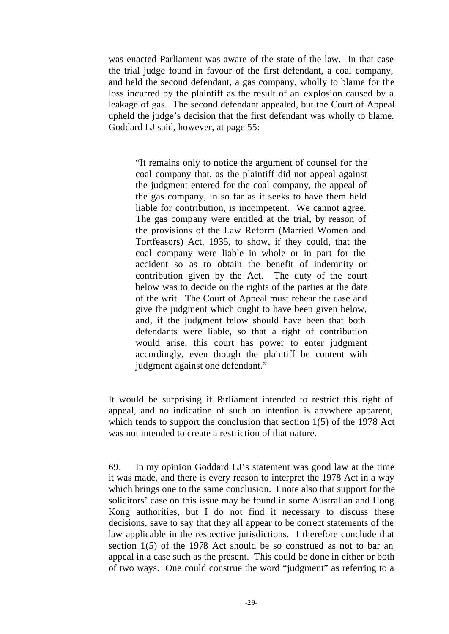was enacted Parliament was aware of the state of the law. In that case the trial judge found in favour of the first defendant, a coal company, and held the second defendant, a gas company, wholly to blame for the loss incurred by the plaintiff as the result of an explosion caused by a leakage of gas. The second defendant appealed, but the Court of Appeal upheld the judge's decision that the first defendant was wholly to blame. Goddard LJ said, however, at page 55:

"It remains only to notice the argument of counsel for the coal company that, as the plaintiff did not appeal against the judgment entered for the coal company, the appeal of the gas company, in so far as it seeks to have them held liable for contribution, is incompetent. We cannot agree. The gas company were entitled at the trial, by reason of the provisions of the Law Reform (Married Women and Tortfeasors) Act, 1935, to show, if they could, that the coal company were liable in whole or in part for the accident so as to obtain the benefit of indemnity or contribution given by the Act. The duty of the court below was to decide on the rights of the parties at the date of the writ. The Court of Appeal must rehear the case and give the judgment which ought to have been given below, and, if the judgment below should have been that both defendants were liable, so that a right of contribution would arise, this court has power to enter judgment accordingly, even though the plaintiff be content with judgment against one defendant."

It would be surprising if Parliament intended to restrict this right of appeal, and no indication of such an intention is anywhere apparent, which tends to support the conclusion that section 1(5) of the 1978 Act was not intended to create a restriction of that nature.

69. In my opinion Goddard LJ's statement was good law at the time it was made, and there is every reason to interpret the 1978 Act in a way which brings one to the same conclusion. I note also that support for the solicitors' case on this issue may be found in some Australian and Hong Kong authorities, but I do not find it necessary to discuss these decisions, save to say that they all appear to be correct statements of the law applicable in the respective jurisdictions. I therefore conclude that section 1(5) of the 1978 Act should be so construed as not to bar an appeal in a case such as the present. This could be done in either or both of two ways. One could construe the word "judgment" as referring to a